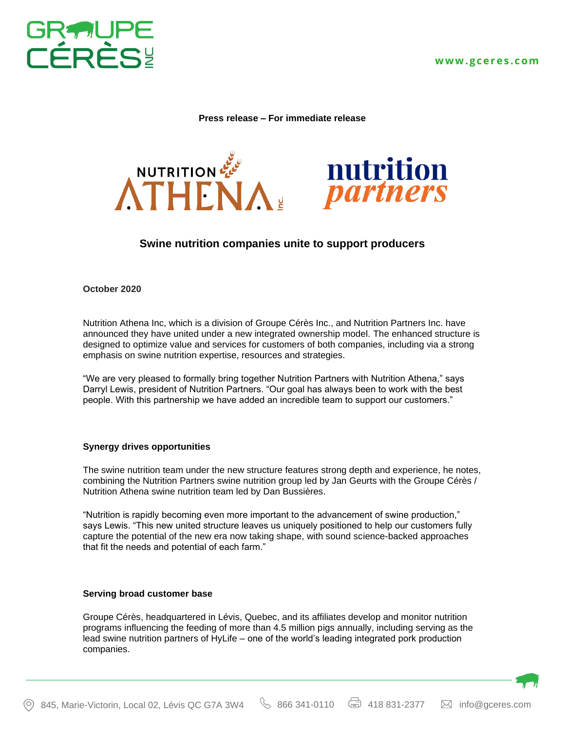

**Press release – For immediate release**





# **Swine nutrition companies unite to support producers**

### **October 2020**

Nutrition Athena Inc, which is a division of Groupe Cérès Inc., and Nutrition Partners Inc. have announced they have united under a new integrated ownership model. The enhanced structure is designed to optimize value and services for customers of both companies, including via a strong emphasis on swine nutrition expertise, resources and strategies.

"We are very pleased to formally bring together Nutrition Partners with Nutrition Athena," says Darryl Lewis, president of Nutrition Partners. "Our goal has always been to work with the best people. With this partnership we have added an incredible team to support our customers."

## **Synergy drives opportunities**

The swine nutrition team under the new structure features strong depth and experience, he notes, combining the Nutrition Partners swine nutrition group led by Jan Geurts with the Groupe Cérès / Nutrition Athena swine nutrition team led by Dan Bussières.

"Nutrition is rapidly becoming even more important to the advancement of swine production," says Lewis. "This new united structure leaves us uniquely positioned to help our customers fully capture the potential of the new era now taking shape, with sound science-backed approaches that fit the needs and potential of each farm."

## **Serving broad customer base**

Groupe Cérès, headquartered in Lévis, Quebec, and its affiliates develop and monitor nutrition programs influencing the feeding of more than 4.5 million pigs annually, including serving as the lead swine nutrition partners of HyLife – one of the world's leading integrated pork production companies.